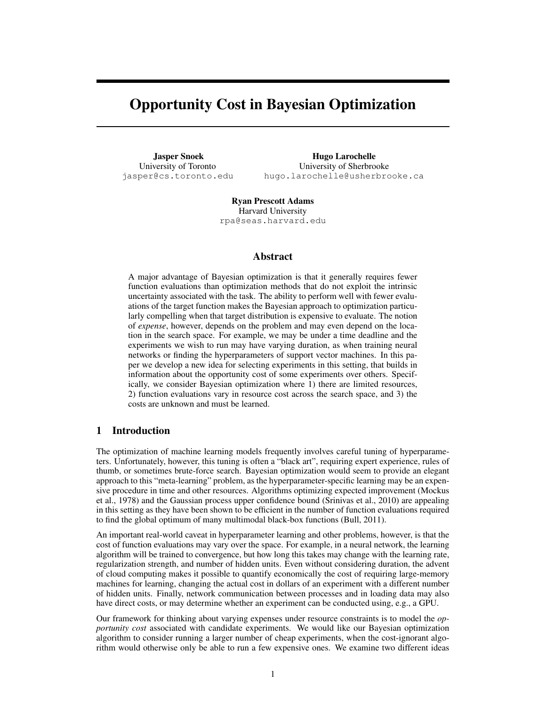# Opportunity Cost in Bayesian Optimization

Jasper Snoek University of Toronto jasper@cs.toronto.edu

Hugo Larochelle University of Sherbrooke hugo.larochelle@usherbrooke.ca

Ryan Prescott Adams Harvard University rpa@seas.harvard.edu

## Abstract

A major advantage of Bayesian optimization is that it generally requires fewer function evaluations than optimization methods that do not exploit the intrinsic uncertainty associated with the task. The ability to perform well with fewer evaluations of the target function makes the Bayesian approach to optimization particularly compelling when that target distribution is expensive to evaluate. The notion of *expense*, however, depends on the problem and may even depend on the location in the search space. For example, we may be under a time deadline and the experiments we wish to run may have varying duration, as when training neural networks or finding the hyperparameters of support vector machines. In this paper we develop a new idea for selecting experiments in this setting, that builds in information about the opportunity cost of some experiments over others. Specifically, we consider Bayesian optimization where 1) there are limited resources, 2) function evaluations vary in resource cost across the search space, and 3) the costs are unknown and must be learned.

### 1 Introduction

The optimization of machine learning models frequently involves careful tuning of hyperparameters. Unfortunately, however, this tuning is often a "black art", requiring expert experience, rules of thumb, or sometimes brute-force search. Bayesian optimization would seem to provide an elegant approach to this "meta-learning" problem, as the hyperparameter-specific learning may be an expensive procedure in time and other resources. Algorithms optimizing expected improvement (Mockus et al., 1978) and the Gaussian process upper confidence bound (Srinivas et al., 2010) are appealing in this setting as they have been shown to be efficient in the number of function evaluations required to find the global optimum of many multimodal black-box functions (Bull, 2011).

An important real-world caveat in hyperparameter learning and other problems, however, is that the cost of function evaluations may vary over the space. For example, in a neural network, the learning algorithm will be trained to convergence, but how long this takes may change with the learning rate, regularization strength, and number of hidden units. Even without considering duration, the advent of cloud computing makes it possible to quantify economically the cost of requiring large-memory machines for learning, changing the actual cost in dollars of an experiment with a different number of hidden units. Finally, network communication between processes and in loading data may also have direct costs, or may determine whether an experiment can be conducted using, e.g., a GPU.

Our framework for thinking about varying expenses under resource constraints is to model the *opportunity cost* associated with candidate experiments. We would like our Bayesian optimization algorithm to consider running a larger number of cheap experiments, when the cost-ignorant algorithm would otherwise only be able to run a few expensive ones. We examine two different ideas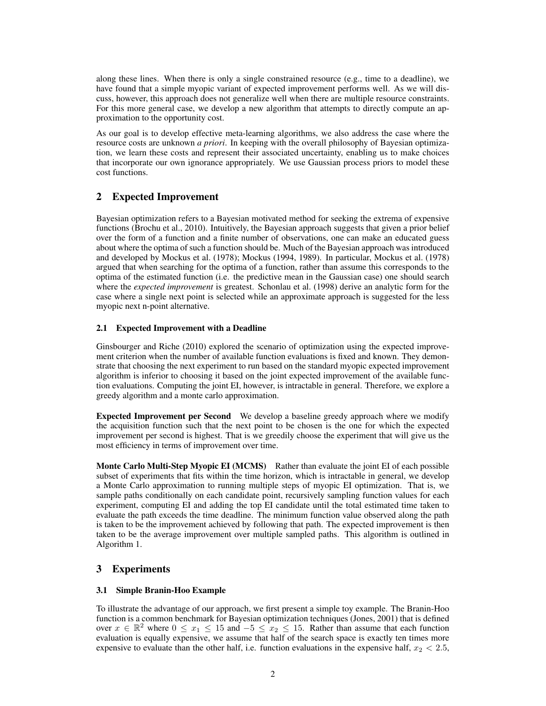along these lines. When there is only a single constrained resource (e.g., time to a deadline), we have found that a simple myopic variant of expected improvement performs well. As we will discuss, however, this approach does not generalize well when there are multiple resource constraints. For this more general case, we develop a new algorithm that attempts to directly compute an approximation to the opportunity cost.

As our goal is to develop effective meta-learning algorithms, we also address the case where the resource costs are unknown *a priori*. In keeping with the overall philosophy of Bayesian optimization, we learn these costs and represent their associated uncertainty, enabling us to make choices that incorporate our own ignorance appropriately. We use Gaussian process priors to model these cost functions.

# 2 Expected Improvement

Bayesian optimization refers to a Bayesian motivated method for seeking the extrema of expensive functions (Brochu et al., 2010). Intuitively, the Bayesian approach suggests that given a prior belief over the form of a function and a finite number of observations, one can make an educated guess about where the optima of such a function should be. Much of the Bayesian approach was introduced and developed by Mockus et al. (1978); Mockus (1994, 1989). In particular, Mockus et al. (1978) argued that when searching for the optima of a function, rather than assume this corresponds to the optima of the estimated function (i.e. the predictive mean in the Gaussian case) one should search where the *expected improvement* is greatest. Schonlau et al. (1998) derive an analytic form for the case where a single next point is selected while an approximate approach is suggested for the less myopic next n-point alternative.

## 2.1 Expected Improvement with a Deadline

Ginsbourger and Riche (2010) explored the scenario of optimization using the expected improvement criterion when the number of available function evaluations is fixed and known. They demonstrate that choosing the next experiment to run based on the standard myopic expected improvement algorithm is inferior to choosing it based on the joint expected improvement of the available function evaluations. Computing the joint EI, however, is intractable in general. Therefore, we explore a greedy algorithm and a monte carlo approximation.

Expected Improvement per Second We develop a baseline greedy approach where we modify the acquisition function such that the next point to be chosen is the one for which the expected improvement per second is highest. That is we greedily choose the experiment that will give us the most efficiency in terms of improvement over time.

Monte Carlo Multi-Step Myopic EI (MCMS) Rather than evaluate the joint EI of each possible subset of experiments that fits within the time horizon, which is intractable in general, we develop a Monte Carlo approximation to running multiple steps of myopic EI optimization. That is, we sample paths conditionally on each candidate point, recursively sampling function values for each experiment, computing EI and adding the top EI candidate until the total estimated time taken to evaluate the path exceeds the time deadline. The minimum function value observed along the path is taken to be the improvement achieved by following that path. The expected improvement is then taken to be the average improvement over multiple sampled paths. This algorithm is outlined in Algorithm 1.

## 3 Experiments

#### 3.1 Simple Branin-Hoo Example

To illustrate the advantage of our approach, we first present a simple toy example. The Branin-Hoo function is a common benchmark for Bayesian optimization techniques (Jones, 2001) that is defined over  $x \in \mathbb{R}^2$  where  $0 \le x_1 \le 15$  and  $-5 \le x_2 \le 15$ . Rather than assume that each function evaluation is equally expensive, we assume that half of the search space is exactly ten times more expensive to evaluate than the other half, i.e. function evaluations in the expensive half,  $x_2 < 2.5$ ,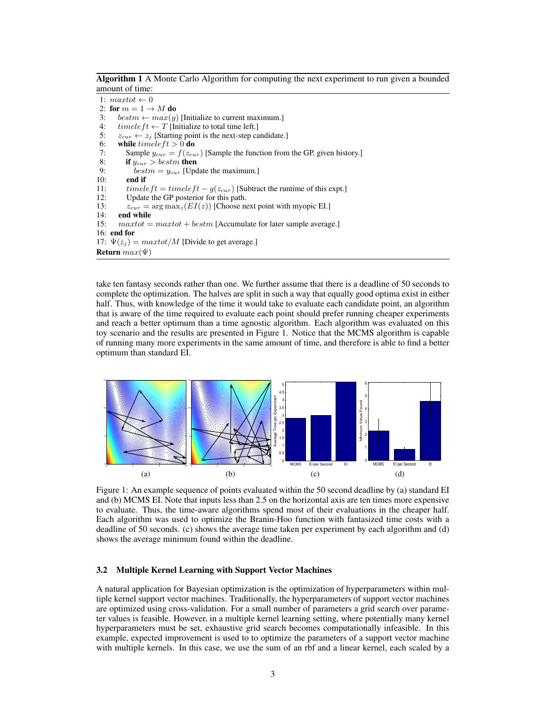#### Algorithm 1 A Monte Carlo Algorithm for computing the next experiment to run given a bounded amount of time:

1:  $maxtot \leftarrow 0$ 2: for  $m = 1 \rightarrow M$  do 3: best $m \leftarrow max(y)$  [Initialize to current maximum.] 4:  $timeleft \leftarrow T$  [Initialize to total time left.]<br>5:  $z_{cur} \leftarrow z_i$  [Starting point is the next-step ca  $z_{cur} \leftarrow z_i$  [Starting point is the next-step candidate.] 6: while  $timeleft > 0$  do 7: Sample  $y_{cur} = f(z_{cur})$  [Sample the function from the GP, given history.] 8: **if**  $y_{cur} > bestm$  **then**<br>9: **best** $m = y_{cur}$  [Und 9:  $bestm = y_{cur}$  [Update the maximum.]<br>10: **end if** end if 11:  $timeleft = timeleft - g(z_{cur})$  [Subtract the runtime of this expt.]<br>12: Update the GP posterior for this path. Update the GP posterior for this path. 13:  $z_{cur} = \arg \max_z (EI(z))$  [Choose next point with myopic EI.] <br>14: **end while** end while 15:  $maxtot = maxtot + bestm$  [Accumulate for later sample average.] 16: end for 17:  $\Psi(z_i) = maxtot/M$  [Divide to get average.] Return  $max(\Psi)$ 

take ten fantasy seconds rather than one. We further assume that there is a deadline of 50 seconds to complete the optimization. The halves are split in such a way that equally good optima exist in either half. Thus, with knowledge of the time it would take to evaluate each candidate point, an algorithm that is aware of the time required to evaluate each point should prefer running cheaper experiments and reach a better optimum than a time agnostic algorithm. Each algorithm was evaluated on this toy scenario and the results are presented in Figure 1. Notice that the MCMS algorithm is capable of running many more experiments in the same amount of time, and therefore is able to find a better optimum than standard EI.



Figure 1: An example sequence of points evaluated within the 50 second deadline by (a) standard EI and (b) MCMS EI. Note that inputs less than 2.5 on the horizontal axis are ten times more expensive to evaluate. Thus, the time-aware algorithms spend most of their evaluations in the cheaper half. Each algorithm was used to optimize the Branin-Hoo function with fantasized time costs with a deadline of 50 seconds. (c) shows the average time taken per experiment by each algorithm and (d) shows the average minimum found within the deadline.

#### 3.2 Multiple Kernel Learning with Support Vector Machines

A natural application for Bayesian optimization is the optimization of hyperparameters within multiple kernel support vector machines. Traditionally, the hyperparameters of support vector machines are optimized using cross-validation. For a small number of parameters a grid search over parameter values is feasible. However, in a multiple kernel learning setting, where potentially many kernel hyperparameters must be set, exhaustive grid search becomes computationally infeasible. In this example, expected improvement is used to to optimize the parameters of a support vector machine with multiple kernels. In this case, we use the sum of an rbf and a linear kernel, each scaled by a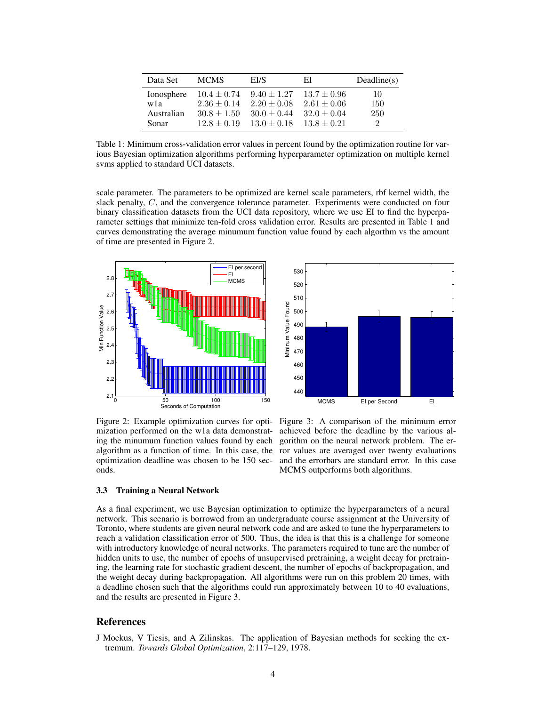| Data Set   | <b>MCMS</b>     | EI/S            | ЕI              | Deadline(s)                 |
|------------|-----------------|-----------------|-----------------|-----------------------------|
| Ionosphere | $10.4 \pm 0.74$ | $9.40 \pm 1.27$ | $13.7 \pm 0.96$ | 10                          |
| wla        | $2.36 \pm 0.14$ | $2.20 \pm 0.08$ | $2.61 \pm 0.06$ | 150                         |
| Australian | $30.8 \pm 1.50$ | $30.0 \pm 0.44$ | $32.0 \pm 0.04$ | 250                         |
| Sonar      | $12.8 + 0.19$   | $13.0 \pm 0.18$ | $13.8 \pm 0.21$ | $\mathcal{D}_{\mathcal{L}}$ |

Table 1: Minimum cross-validation error values in percent found by the optimization routine for various Bayesian optimization algorithms performing hyperparameter optimization on multiple kernel svms applied to standard UCI datasets.

scale parameter. The parameters to be optimized are kernel scale parameters, rbf kernel width, the slack penalty, C, and the convergence tolerance parameter. Experiments were conducted on four binary classification datasets from the UCI data repository, where we use EI to find the hyperparameter settings that minimize ten-fold cross validation error. Results are presented in Table 1 and curves demonstrating the average minumum function value found by each algorthm vs the amount of time are presented in Figure 2.



onds.

Figure 2: Example optimization curves for opti-Figure 3: A comparison of the minimum error mization performed on the w1a data demonstrat-achieved before the deadline by the various aling the minumum function values found by each gorithm on the neural network problem. The eralgorithm as a function of time. In this case, the ror values are averaged over twenty evaluations optimization deadline was chosen to be 150 sec-and the errorbars are standard error. In this case MCMS outperforms both algorithms.

#### 3.3 Training a Neural Network

As a final experiment, we use Bayesian optimization to optimize the hyperparameters of a neural network. This scenario is borrowed from an undergraduate course assignment at the University of Toronto, where students are given neural network code and are asked to tune the hyperparameters to reach a validation classification error of 500. Thus, the idea is that this is a challenge for someone with introductory knowledge of neural networks. The parameters required to tune are the number of hidden units to use, the number of epochs of unsupervised pretraining, a weight decay for pretraining, the learning rate for stochastic gradient descent, the number of epochs of backpropagation, and the weight decay during backpropagation. All algorithms were run on this problem 20 times, with a deadline chosen such that the algorithms could run approximately between 10 to 40 evaluations, and the results are presented in Figure 3.

## References

J Mockus, V Tiesis, and A Zilinskas. The application of Bayesian methods for seeking the extremum. *Towards Global Optimization*, 2:117–129, 1978.